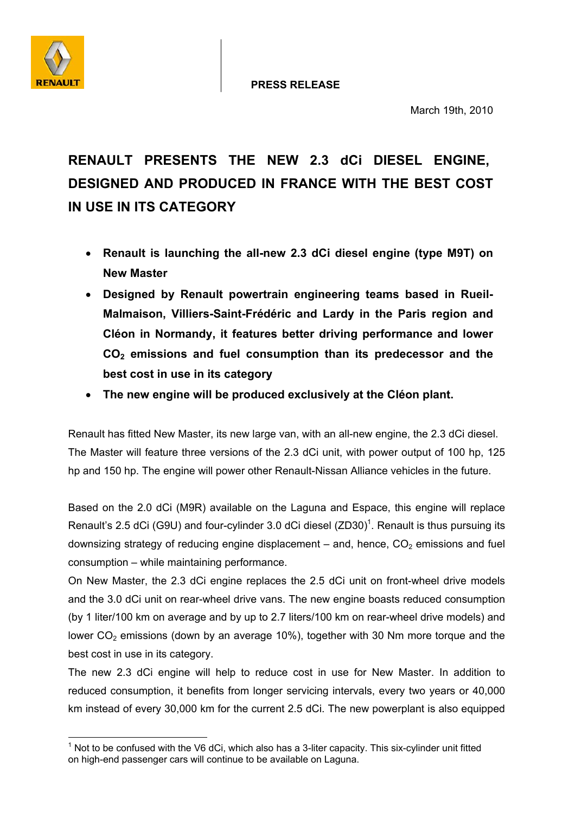



March 19th, 2010

# **RENAULT PRESENTS THE NEW 2.3 dCi DIESEL ENGINE, DESIGNED AND PRODUCED IN FRANCE WITH THE BEST COST IN USE IN ITS CATEGORY**

- **Renault is launching the all-new 2.3 dCi diesel engine (type M9T) on New Master**
- **Designed by Renault powertrain engineering teams based in Rueil-Malmaison, Villiers-Saint-Frédéric and Lardy in the Paris region and Cléon in Normandy, it features better driving performance and lower CO2 emissions and fuel consumption than its predecessor and the best cost in use in its category**
- **The new engine will be produced exclusively at the Cléon plant.**

Renault has fitted New Master, its new large van, with an all-new engine, the 2.3 dCi diesel. The Master will feature three versions of the 2.3 dCi unit, with power output of 100 hp, 125 hp and 150 hp. The engine will power other Renault-Nissan Alliance vehicles in the future.

Based on the 2.0 dCi (M9R) available on the Laguna and Espace, this engine will replace Renault's 2.5 dCi (G9U) and four-cylinder 3.0 dCi diesel (ZD30)<sup>1</sup>. Renault is thus pursuing its downsizing strategy of reducing engine displacement – and, hence,  $CO<sub>2</sub>$  emissions and fuel consumption – while maintaining performance.

On New Master, the 2.3 dCi engine replaces the 2.5 dCi unit on front-wheel drive models and the 3.0 dCi unit on rear-wheel drive vans. The new engine boasts reduced consumption (by 1 liter/100 km on average and by up to 2.7 liters/100 km on rear-wheel drive models) and lower  $CO<sub>2</sub>$  emissions (down by an average 10%), together with 30 Nm more torque and the best cost in use in its category.

The new 2.3 dCi engine will help to reduce cost in use for New Master. In addition to reduced consumption, it benefits from longer servicing intervals, every two years or 40,000 km instead of every 30,000 km for the current 2.5 dCi. The new powerplant is also equipped

 $\overline{a}$  $1$  Not to be confused with the V6 dCi, which also has a 3-liter capacity. This six-cylinder unit fitted on high-end passenger cars will continue to be available on Laguna.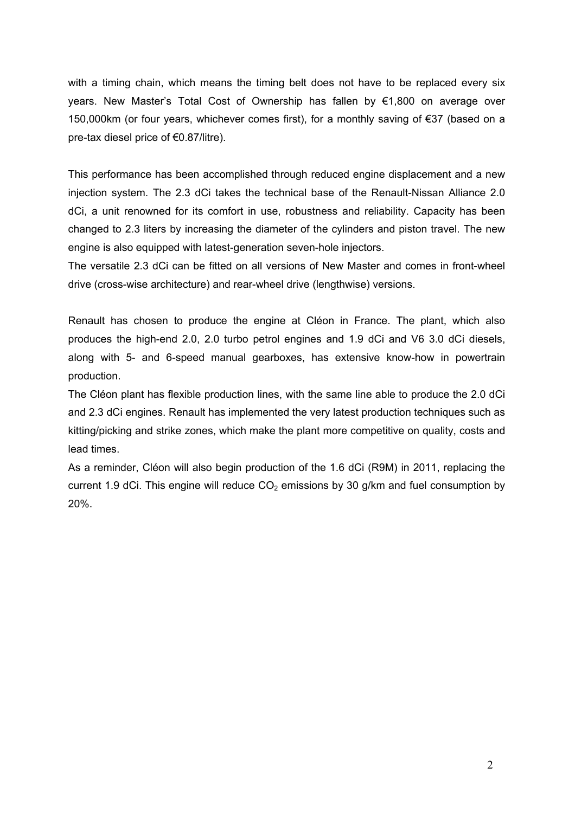with a timing chain, which means the timing belt does not have to be replaced every six years. New Master's Total Cost of Ownership has fallen by €1,800 on average over 150,000km (or four years, whichever comes first), for a monthly saving of  $\epsilon$ 37 (based on a pre-tax diesel price of €0.87/litre).

This performance has been accomplished through reduced engine displacement and a new injection system. The 2.3 dCi takes the technical base of the Renault-Nissan Alliance 2.0 dCi, a unit renowned for its comfort in use, robustness and reliability. Capacity has been changed to 2.3 liters by increasing the diameter of the cylinders and piston travel. The new engine is also equipped with latest-generation seven-hole injectors.

The versatile 2.3 dCi can be fitted on all versions of New Master and comes in front-wheel drive (cross-wise architecture) and rear-wheel drive (lengthwise) versions.

Renault has chosen to produce the engine at Cléon in France. The plant, which also produces the high-end 2.0, 2.0 turbo petrol engines and 1.9 dCi and V6 3.0 dCi diesels, along with 5- and 6-speed manual gearboxes, has extensive know-how in powertrain production.

The Cléon plant has flexible production lines, with the same line able to produce the 2.0 dCi and 2.3 dCi engines. Renault has implemented the very latest production techniques such as kitting/picking and strike zones, which make the plant more competitive on quality, costs and lead times.

As a reminder, Cléon will also begin production of the 1.6 dCi (R9M) in 2011, replacing the current 1.9 dCi. This engine will reduce  $CO<sub>2</sub>$  emissions by 30 g/km and fuel consumption by 20%.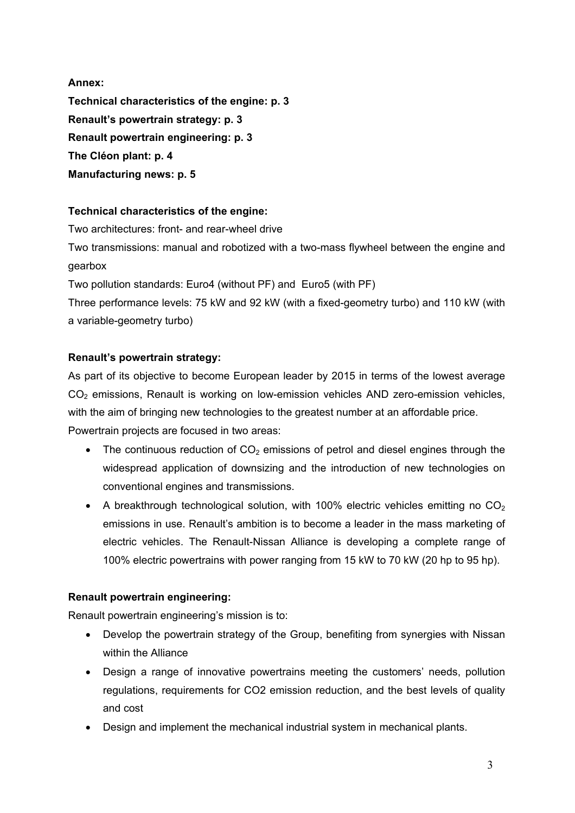**Annex: Technical characteristics of the engine: p. 3 Renault's powertrain strategy: p. 3 Renault powertrain engineering: p. 3 The Cléon plant: p. 4** 

**Manufacturing news: p. 5** 

# **Technical characteristics of the engine:**

Two architectures: front- and rear-wheel drive

Two transmissions: manual and robotized with a two-mass flywheel between the engine and gearbox

Two pollution standards: Euro4 (without PF) and Euro5 (with PF)

Three performance levels: 75 kW and 92 kW (with a fixed-geometry turbo) and 110 kW (with a variable-geometry turbo)

# **Renault's powertrain strategy:**

As part of its objective to become European leader by 2015 in terms of the lowest average CO<sub>2</sub> emissions, Renault is working on low-emission vehicles AND zero-emission vehicles, with the aim of bringing new technologies to the greatest number at an affordable price. Powertrain projects are focused in two areas:

- The continuous reduction of  $CO<sub>2</sub>$  emissions of petrol and diesel engines through the widespread application of downsizing and the introduction of new technologies on conventional engines and transmissions.
- A breakthrough technological solution, with 100% electric vehicles emitting no  $CO<sub>2</sub>$ emissions in use. Renault's ambition is to become a leader in the mass marketing of electric vehicles. The Renault-Nissan Alliance is developing a complete range of 100% electric powertrains with power ranging from 15 kW to 70 kW (20 hp to 95 hp).

# **Renault powertrain engineering:**

Renault powertrain engineering's mission is to:

- Develop the powertrain strategy of the Group, benefiting from synergies with Nissan within the Alliance
- Design a range of innovative powertrains meeting the customers' needs, pollution regulations, requirements for CO2 emission reduction, and the best levels of quality and cost
- Design and implement the mechanical industrial system in mechanical plants.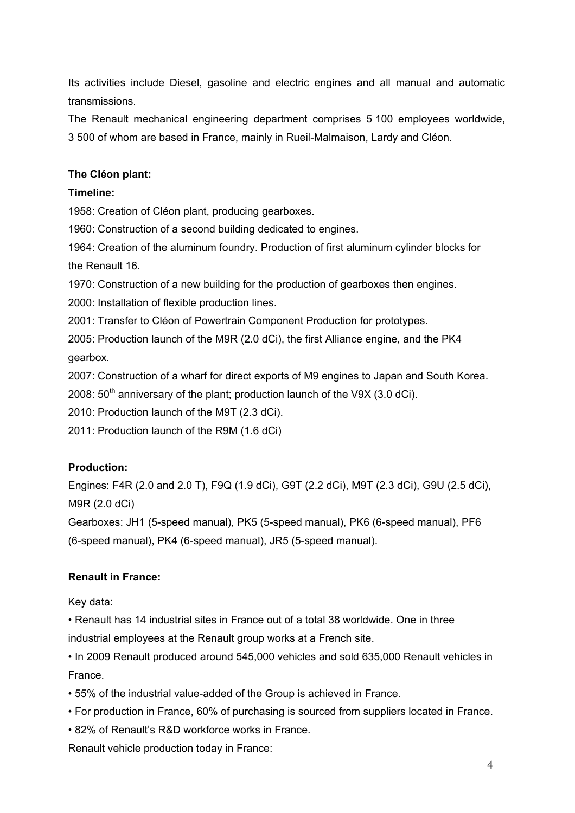Its activities include Diesel, gasoline and electric engines and all manual and automatic transmissions.

The Renault mechanical engineering department comprises 5 100 employees worldwide, 3 500 of whom are based in France, mainly in Rueil-Malmaison, Lardy and Cléon.

### **The Cléon plant:**

### **Timeline:**

1958: Creation of Cléon plant, producing gearboxes.

1960: Construction of a second building dedicated to engines.

1964: Creation of the aluminum foundry. Production of first aluminum cylinder blocks for the Renault 16.

1970: Construction of a new building for the production of gearboxes then engines.

2000: Installation of flexible production lines.

2001: Transfer to Cléon of Powertrain Component Production for prototypes.

2005: Production launch of the M9R (2.0 dCi), the first Alliance engine, and the PK4 gearbox.

2007: Construction of a wharf for direct exports of M9 engines to Japan and South Korea.

2008:  $50<sup>th</sup>$  anniversary of the plant; production launch of the V9X (3.0 dCi).

2010: Production launch of the M9T (2.3 dCi).

2011: Production launch of the R9M (1.6 dCi)

# **Production:**

Engines: F4R (2.0 and 2.0 T), F9Q (1.9 dCi), G9T (2.2 dCi), M9T (2.3 dCi), G9U (2.5 dCi), M9R (2.0 dCi)

Gearboxes: JH1 (5-speed manual), PK5 (5-speed manual), PK6 (6-speed manual), PF6 (6-speed manual), PK4 (6-speed manual), JR5 (5-speed manual).

# **Renault in France:**

Key data:

• Renault has 14 industrial sites in France out of a total 38 worldwide. One in three industrial employees at the Renault group works at a French site.

- In 2009 Renault produced around 545,000 vehicles and sold 635,000 Renault vehicles in France.
- 55% of the industrial value-added of the Group is achieved in France.
- For production in France, 60% of purchasing is sourced from suppliers located in France.
- 82% of Renault's R&D workforce works in France.

Renault vehicle production today in France: